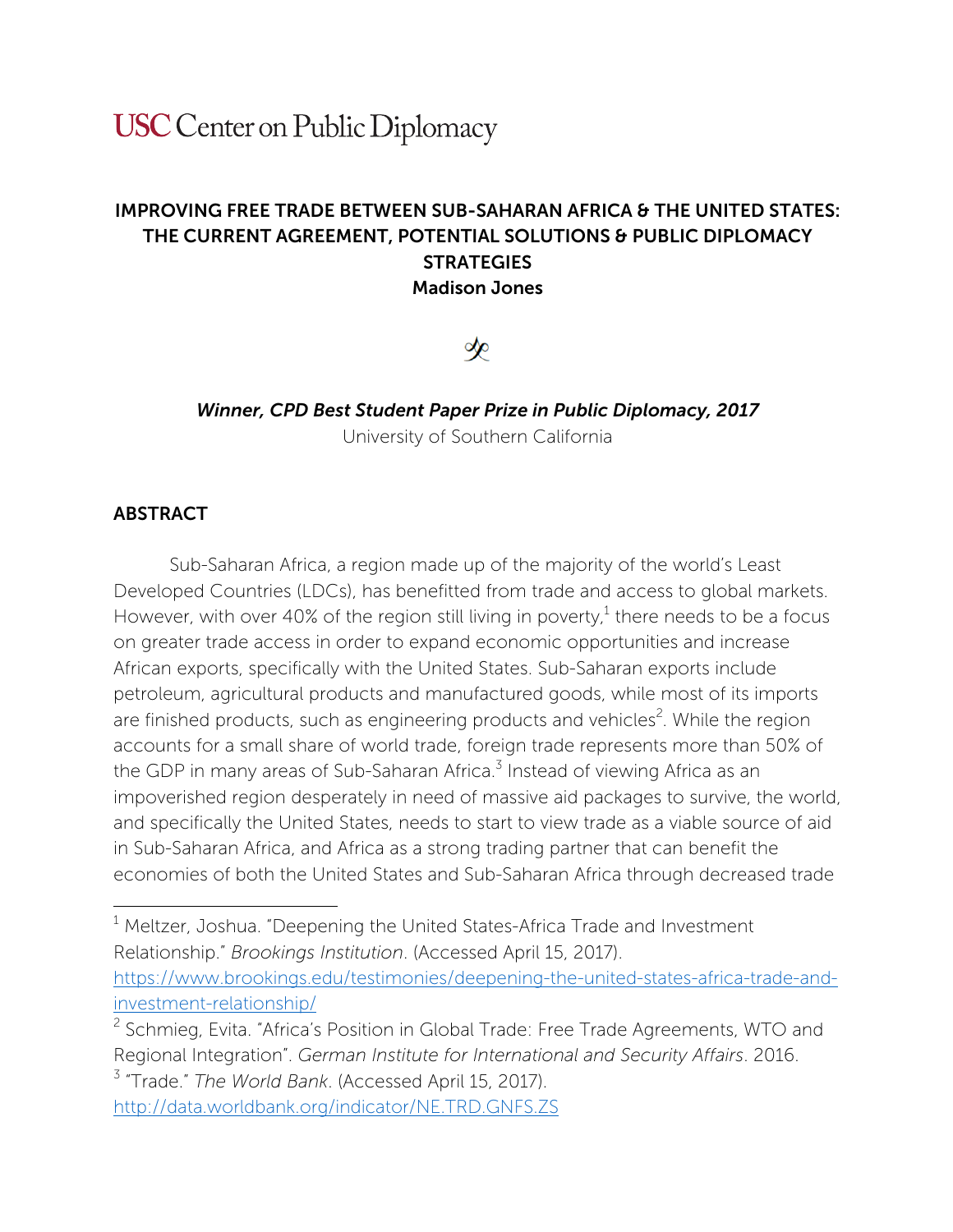# **USC** Center on Public Diplomacy

## IMPROVING FREE TRADE BETWEEN SUB-SAHARAN AFRICA & THE UNITED STATES: THE CURRENT AGREEMENT, POTENTIAL SOLUTIONS & PUBLIC DIPLOMACY **STRATEGIES** Madison Jones

# չ

# *Winner, CPD Best Student Paper Prize in Public Diplomacy, 2017*

University of Southern California

## ABSTRACT

 

Sub-Saharan Africa, a region made up of the majority of the world's Least Developed Countries (LDCs), has benefitted from trade and access to global markets. However, with over 40% of the region still living in poverty,<sup>1</sup> there needs to be a focus on greater trade access in order to expand economic opportunities and increase African exports, specifically with the United States. Sub-Saharan exports include petroleum, agricultural products and manufactured goods, while most of its imports are finished products, such as engineering products and vehicles<sup>2</sup>. While the region accounts for a small share of world trade, foreign trade represents more than 50% of the GDP in many areas of Sub-Saharan Africa.<sup>3</sup> Instead of viewing Africa as an impoverished region desperately in need of massive aid packages to survive, the world, and specifically the United States, needs to start to view trade as a viable source of aid in Sub-Saharan Africa, and Africa as a strong trading partner that can benefit the economies of both the United States and Sub-Saharan Africa through decreased trade

<sup>1</sup> Meltzer, Joshua. "Deepening the United States-Africa Trade and Investment Relationship." *Brookings Institution*. (Accessed April 15, 2017). https://www.brookings.edu/testimonies/deepening-the-united-states-africa-trade-andinvestment-relationship/

<sup>2</sup> Schmieg, Evita. "Africa's Position in Global Trade: Free Trade Agreements, WTO and Regional Integration". *German Institute for International and Security Affairs*. 2016. <sup>3</sup> "Trade." *The World Bank*. (Accessed April 15, 2017).

http://data.worldbank.org/indicator/NE.TRD.GNFS.ZS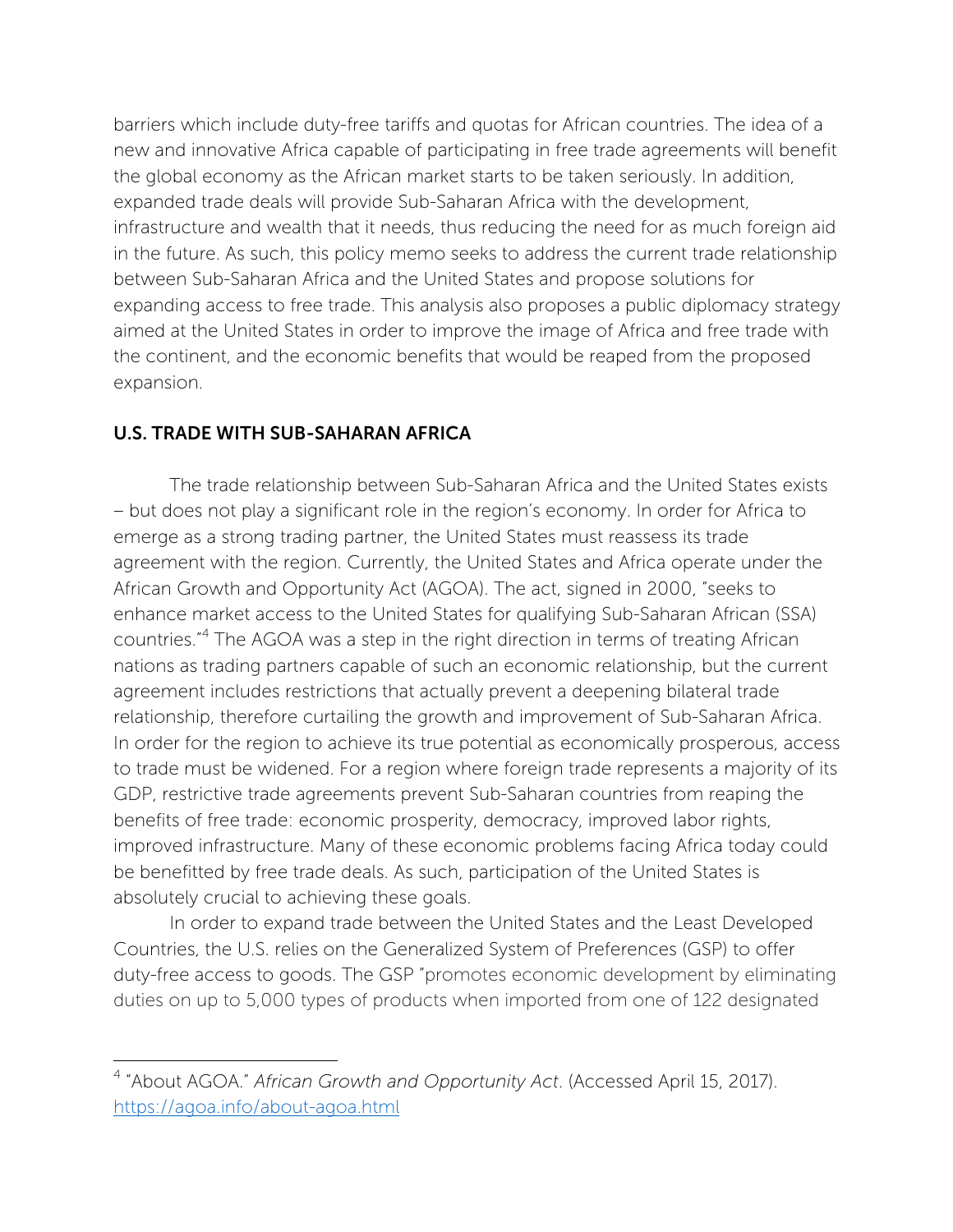barriers which include duty-free tariffs and quotas for African countries. The idea of a new and innovative Africa capable of participating in free trade agreements will benefit the global economy as the African market starts to be taken seriously. In addition, expanded trade deals will provide Sub-Saharan Africa with the development, infrastructure and wealth that it needs, thus reducing the need for as much foreign aid in the future. As such, this policy memo seeks to address the current trade relationship between Sub-Saharan Africa and the United States and propose solutions for expanding access to free trade. This analysis also proposes a public diplomacy strategy aimed at the United States in order to improve the image of Africa and free trade with the continent, and the economic benefits that would be reaped from the proposed expansion.

#### U.S. TRADE WITH SUB-SAHARAN AFRICA

 

The trade relationship between Sub-Saharan Africa and the United States exists – but does not play a significant role in the region's economy. In order for Africa to emerge as a strong trading partner, the United States must reassess its trade agreement with the region. Currently, the United States and Africa operate under the African Growth and Opportunity Act (AGOA). The act, signed in 2000, "seeks to enhance market access to the United States for qualifying Sub-Saharan African (SSA) countries."<sup>4</sup> The AGOA was a step in the right direction in terms of treating African nations as trading partners capable of such an economic relationship, but the current agreement includes restrictions that actually prevent a deepening bilateral trade relationship, therefore curtailing the growth and improvement of Sub-Saharan Africa. In order for the region to achieve its true potential as economically prosperous, access to trade must be widened. For a region where foreign trade represents a majority of its GDP, restrictive trade agreements prevent Sub-Saharan countries from reaping the benefits of free trade: economic prosperity, democracy, improved labor rights, improved infrastructure. Many of these economic problems facing Africa today could be benefitted by free trade deals. As such, participation of the United States is absolutely crucial to achieving these goals.

In order to expand trade between the United States and the Least Developed Countries, the U.S. relies on the Generalized System of Preferences (GSP) to offer duty-free access to goods. The GSP "promotes economic development by eliminating duties on up to 5,000 types of products when imported from one of 122 designated

<sup>4</sup> "About AGOA." *African Growth and Opportunity Act*. (Accessed April 15, 2017). https://agoa.info/about-agoa.html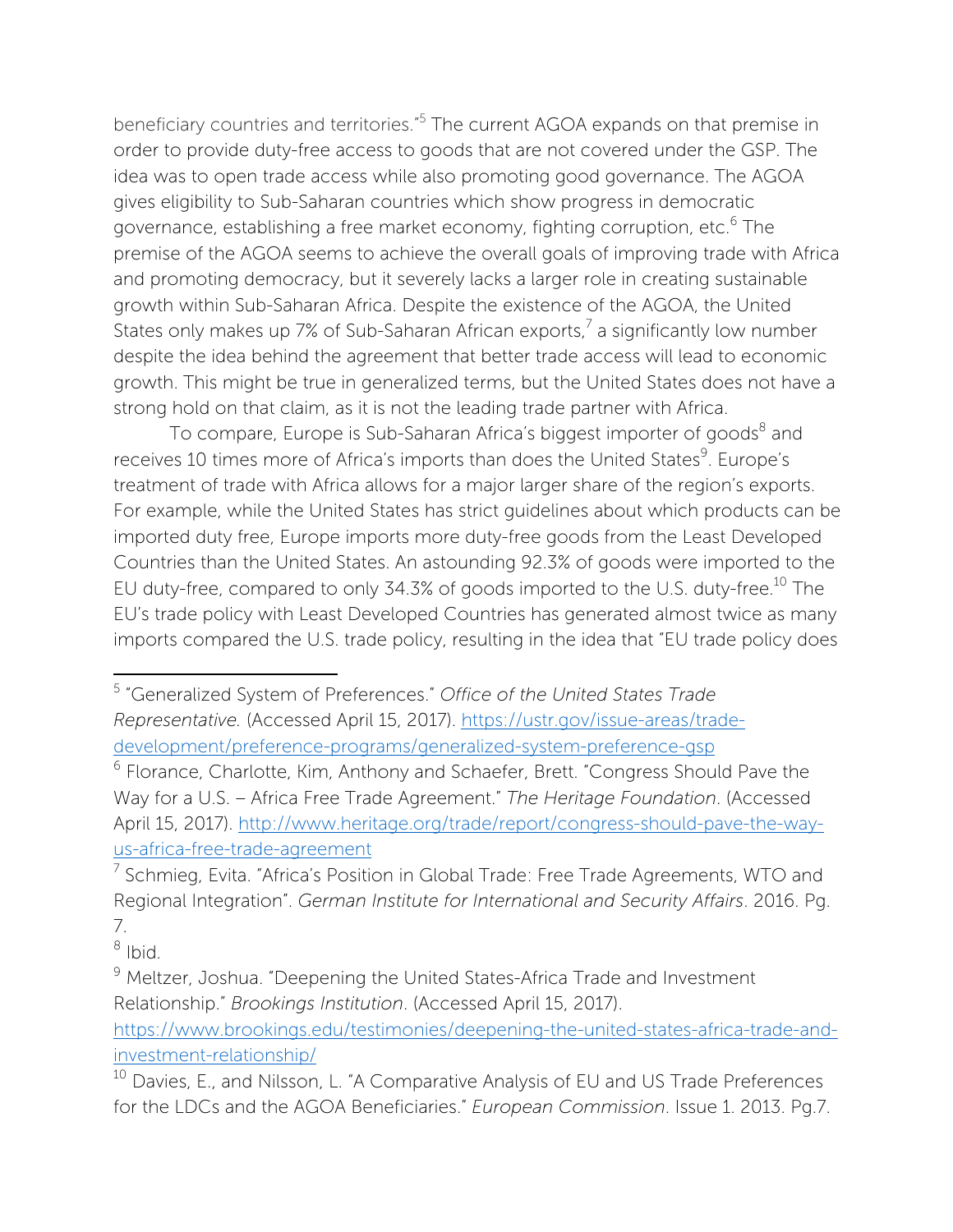beneficiary countries and territories."5 The current AGOA expands on that premise in order to provide duty-free access to goods that are not covered under the GSP. The idea was to open trade access while also promoting good governance. The AGOA gives eligibility to Sub-Saharan countries which show progress in democratic governance, establishing a free market economy, fighting corruption, etc.<sup>6</sup> The premise of the AGOA seems to achieve the overall goals of improving trade with Africa and promoting democracy, but it severely lacks a larger role in creating sustainable growth within Sub-Saharan Africa. Despite the existence of the AGOA, the United States only makes up 7% of Sub-Saharan African exports, $^7$  a significantly low number despite the idea behind the agreement that better trade access will lead to economic growth. This might be true in generalized terms, but the United States does not have a strong hold on that claim, as it is not the leading trade partner with Africa.

To compare, Europe is Sub-Saharan Africa's biggest importer of goods<sup>8</sup> and receives 10 times more of Africa's imports than does the United States<sup>9</sup>. Europe's treatment of trade with Africa allows for a major larger share of the region's exports. For example, while the United States has strict guidelines about which products can be imported duty free, Europe imports more duty-free goods from the Least Developed Countries than the United States. An astounding 92.3% of goods were imported to the EU duty-free, compared to only 34.3% of goods imported to the U.S. duty-free.<sup>10</sup> The EU's trade policy with Least Developed Countries has generated almost twice as many imports compared the U.S. trade policy, resulting in the idea that "EU trade policy does

 

https://www.brookings.edu/testimonies/deepening-the-united-states-africa-trade-andinvestment-relationship/

<sup>5</sup> "Generalized System of Preferences." *Office of the United States Trade Representative.* (Accessed April 15, 2017). https://ustr.gov/issue-areas/tradedevelopment/preference-programs/generalized-system-preference-gsp

<sup>6</sup> Florance, Charlotte, Kim, Anthony and Schaefer, Brett. "Congress Should Pave the Way for a U.S. – Africa Free Trade Agreement." *The Heritage Foundation*. (Accessed April 15, 2017). http://www.heritage.org/trade/report/congress-should-pave-the-wayus-africa-free-trade-agreement

 $7$  Schmieg, Evita. "Africa's Position in Global Trade: Free Trade Agreements, WTO and Regional Integration". *German Institute for International and Security Affairs*. 2016. Pg. 7.

 $8$  Ibid.

<sup>&</sup>lt;sup>9</sup> Meltzer, Joshua. "Deepening the United States-Africa Trade and Investment Relationship." *Brookings Institution*. (Accessed April 15, 2017).

<sup>&</sup>lt;sup>10</sup> Davies, E., and Nilsson, L. "A Comparative Analysis of EU and US Trade Preferences for the LDCs and the AGOA Beneficiaries." *European Commission*. Issue 1. 2013. Pg.7.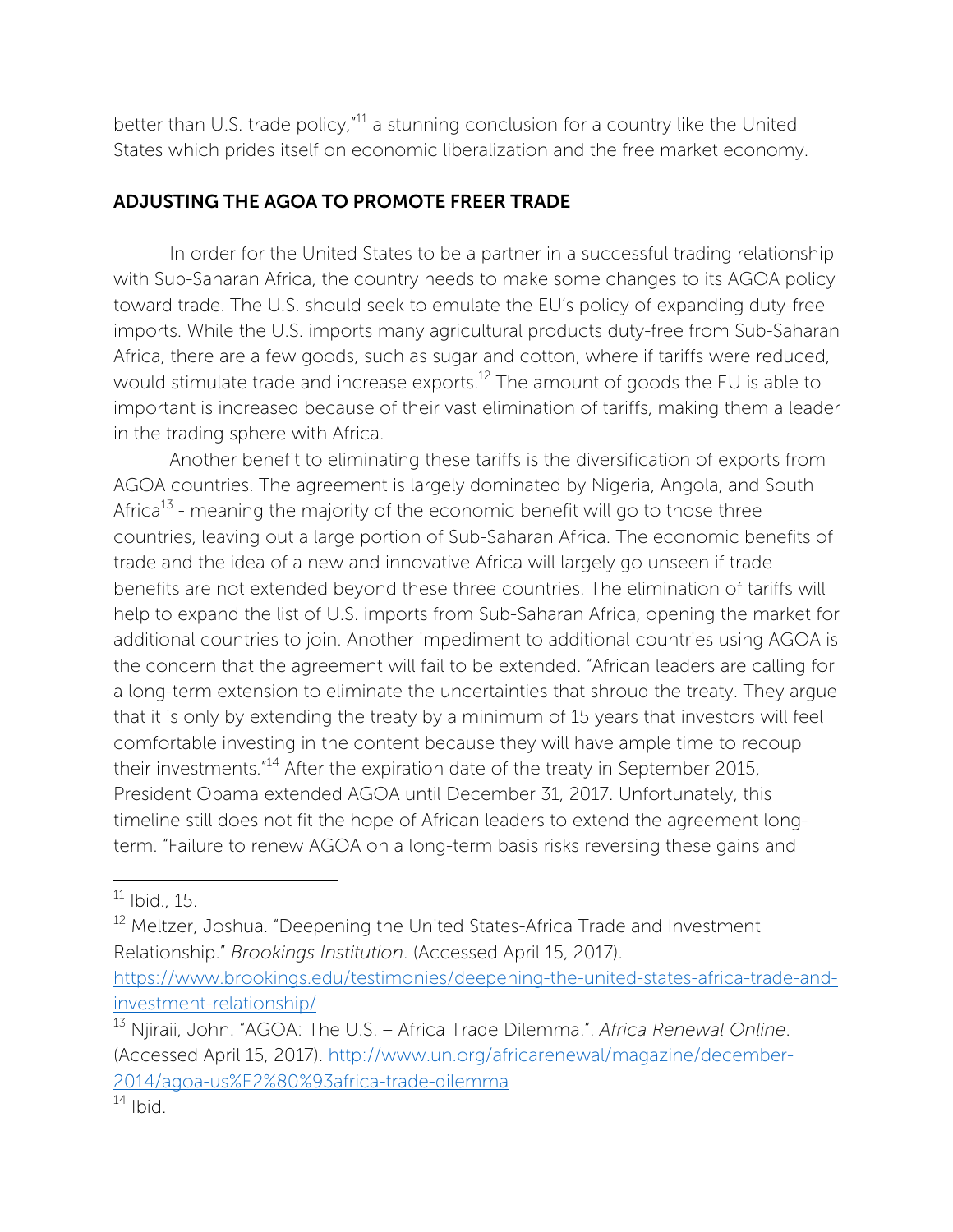better than U.S. trade policy,  $11$  a stunning conclusion for a country like the United States which prides itself on economic liberalization and the free market economy.

## ADJUSTING THE AGOA TO PROMOTE FREER TRADE

In order for the United States to be a partner in a successful trading relationship with Sub-Saharan Africa, the country needs to make some changes to its AGOA policy toward trade. The U.S. should seek to emulate the EU's policy of expanding duty-free imports. While the U.S. imports many agricultural products duty-free from Sub-Saharan Africa, there are a few goods, such as sugar and cotton, where if tariffs were reduced, would stimulate trade and increase exports.<sup>12</sup> The amount of goods the EU is able to important is increased because of their vast elimination of tariffs, making them a leader in the trading sphere with Africa.

Another benefit to eliminating these tariffs is the diversification of exports from AGOA countries. The agreement is largely dominated by Nigeria, Angola, and South Africa<sup>13</sup> - meaning the majority of the economic benefit will go to those three countries, leaving out a large portion of Sub-Saharan Africa. The economic benefits of trade and the idea of a new and innovative Africa will largely go unseen if trade benefits are not extended beyond these three countries. The elimination of tariffs will help to expand the list of U.S. imports from Sub-Saharan Africa, opening the market for additional countries to join. Another impediment to additional countries using AGOA is the concern that the agreement will fail to be extended. "African leaders are calling for a long-term extension to eliminate the uncertainties that shroud the treaty. They argue that it is only by extending the treaty by a minimum of 15 years that investors will feel comfortable investing in the content because they will have ample time to recoup their investments."14 After the expiration date of the treaty in September 2015, President Obama extended AGOA until December 31, 2017. Unfortunately, this timeline still does not fit the hope of African leaders to extend the agreement longterm. "Failure to renew AGOA on a long-term basis risks reversing these gains and

 $11$  Ibid., 15.

<sup>&</sup>lt;sup>12</sup> Meltzer, Joshua. "Deepening the United States-Africa Trade and Investment Relationship." *Brookings Institution*. (Accessed April 15, 2017). https://www.brookings.edu/testimonies/deepening-the-united-states-africa-trade-andinvestment-relationship/

<sup>13</sup> Njiraii, John. "AGOA: The U.S. – Africa Trade Dilemma.". *Africa Renewal Online*. (Accessed April 15, 2017). http://www.un.org/africarenewal/magazine/december-2014/agoa-us%E2%80%93africa-trade-dilemma

 $14$  Ibid.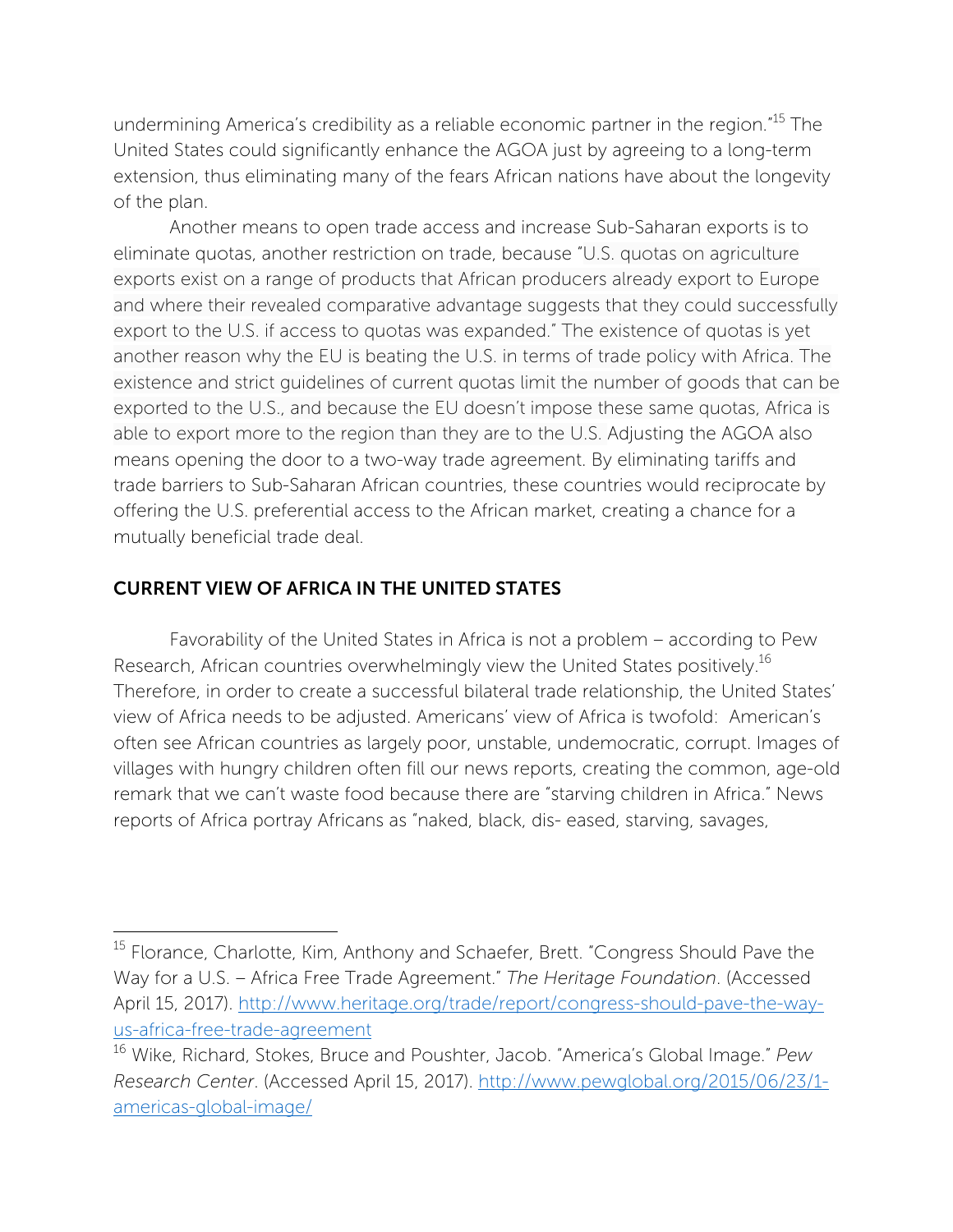undermining America's credibility as a reliable economic partner in the region."<sup>15</sup> The United States could significantly enhance the AGOA just by agreeing to a long-term extension, thus eliminating many of the fears African nations have about the longevity of the plan.

Another means to open trade access and increase Sub-Saharan exports is to eliminate quotas, another restriction on trade, because "U.S. quotas on agriculture exports exist on a range of products that African producers already export to Europe and where their revealed comparative advantage suggests that they could successfully export to the U.S. if access to quotas was expanded." The existence of quotas is yet another reason why the EU is beating the U.S. in terms of trade policy with Africa. The existence and strict guidelines of current quotas limit the number of goods that can be exported to the U.S., and because the EU doesn't impose these same quotas, Africa is able to export more to the region than they are to the U.S. Adjusting the AGOA also means opening the door to a two-way trade agreement. By eliminating tariffs and trade barriers to Sub-Saharan African countries, these countries would reciprocate by offering the U.S. preferential access to the African market, creating a chance for a mutually beneficial trade deal.

#### CURRENT VIEW OF AFRICA IN THE UNITED STATES

 

Favorability of the United States in Africa is not a problem – according to Pew Research, African countries overwhelmingly view the United States positively.<sup>16</sup> Therefore, in order to create a successful bilateral trade relationship, the United States' view of Africa needs to be adjusted. Americans' view of Africa is twofold: American's often see African countries as largely poor, unstable, undemocratic, corrupt. Images of villages with hungry children often fill our news reports, creating the common, age-old remark that we can't waste food because there are "starving children in Africa." News reports of Africa portray Africans as "naked, black, dis- eased, starving, savages,

<sup>&</sup>lt;sup>15</sup> Florance, Charlotte, Kim, Anthony and Schaefer, Brett. "Congress Should Pave the Way for a U.S. – Africa Free Trade Agreement." *The Heritage Foundation*. (Accessed April 15, 2017). http://www.heritage.org/trade/report/congress-should-pave-the-wayus-africa-free-trade-agreement

<sup>16</sup> Wike, Richard, Stokes, Bruce and Poushter, Jacob. "America's Global Image." *Pew Research Center*. (Accessed April 15, 2017). http://www.pewglobal.org/2015/06/23/1 americas-global-image/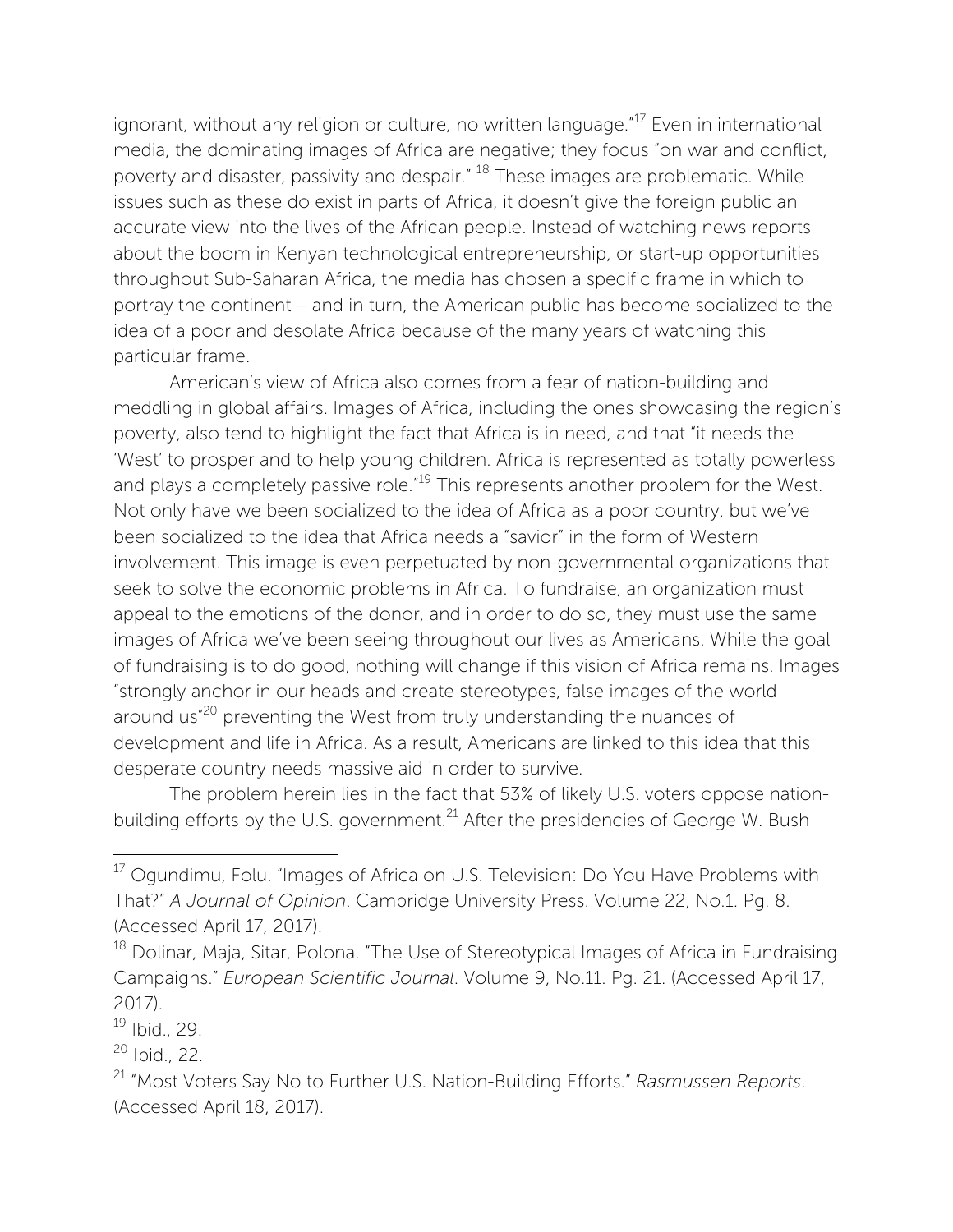ignorant, without any religion or culture, no written language."<sup>17</sup> Even in international media, the dominating images of Africa are negative; they focus "on war and conflict, poverty and disaster, passivity and despair."<sup>18</sup> These images are problematic. While issues such as these do exist in parts of Africa, it doesn't give the foreign public an accurate view into the lives of the African people. Instead of watching news reports about the boom in Kenyan technological entrepreneurship, or start-up opportunities throughout Sub-Saharan Africa, the media has chosen a specific frame in which to portray the continent – and in turn, the American public has become socialized to the idea of a poor and desolate Africa because of the many years of watching this particular frame.

American's view of Africa also comes from a fear of nation-building and meddling in global affairs. Images of Africa, including the ones showcasing the region's poverty, also tend to highlight the fact that Africa is in need, and that "it needs the 'West' to prosper and to help young children. Africa is represented as totally powerless and plays a completely passive role.<sup>"19</sup> This represents another problem for the West. Not only have we been socialized to the idea of Africa as a poor country, but we've been socialized to the idea that Africa needs a "savior" in the form of Western involvement. This image is even perpetuated by non-governmental organizations that seek to solve the economic problems in Africa. To fundraise, an organization must appeal to the emotions of the donor, and in order to do so, they must use the same images of Africa we've been seeing throughout our lives as Americans. While the goal of fundraising is to do good, nothing will change if this vision of Africa remains. Images "strongly anchor in our heads and create stereotypes, false images of the world around us"20 preventing the West from truly understanding the nuances of development and life in Africa. As a result, Americans are linked to this idea that this desperate country needs massive aid in order to survive.

The problem herein lies in the fact that 53% of likely U.S. voters oppose nationbuilding efforts by the U.S. government.<sup>21</sup> After the presidencies of George W. Bush

<sup>&</sup>lt;sup>17</sup> Ogundimu, Folu. "Images of Africa on U.S. Television: Do You Have Problems with That?" *A Journal of Opinion*. Cambridge University Press. Volume 22, No.1. Pg. 8. (Accessed April 17, 2017).

<sup>&</sup>lt;sup>18</sup> Dolinar, Maja, Sitar, Polona. "The Use of Stereotypical Images of Africa in Fundraising Campaigns." *European Scientific Journal*. Volume 9, No.11. Pg. 21. (Accessed April 17, 2017).

 $19$  Ibid., 29.

<sup>20</sup> Ibid., 22.

<sup>21</sup> "Most Voters Say No to Further U.S. Nation-Building Efforts." *Rasmussen Reports*. (Accessed April 18, 2017).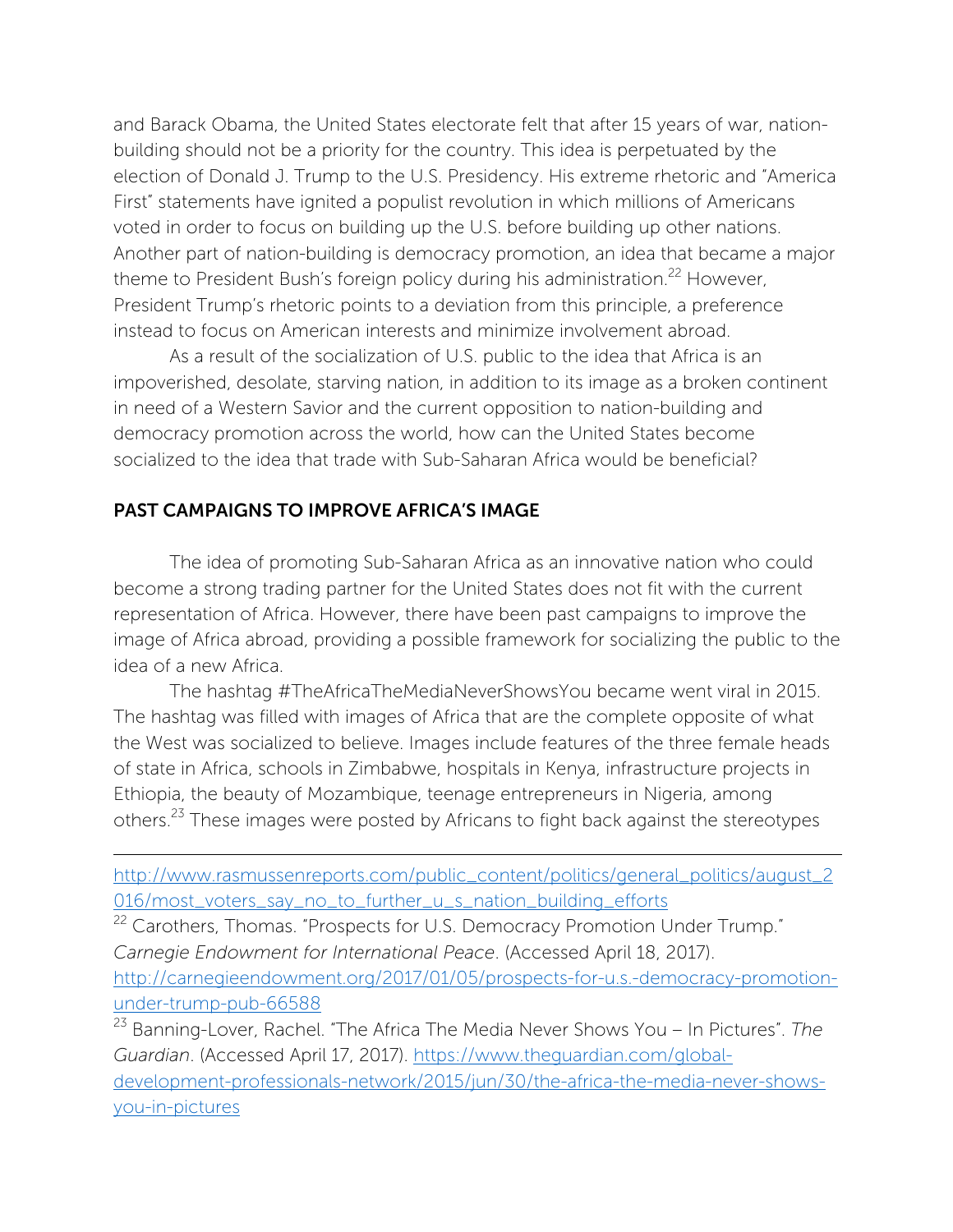and Barack Obama, the United States electorate felt that after 15 years of war, nationbuilding should not be a priority for the country. This idea is perpetuated by the election of Donald J. Trump to the U.S. Presidency. His extreme rhetoric and "America First" statements have ignited a populist revolution in which millions of Americans voted in order to focus on building up the U.S. before building up other nations. Another part of nation-building is democracy promotion, an idea that became a major theme to President Bush's foreign policy during his administration.<sup>22</sup> However, President Trump's rhetoric points to a deviation from this principle, a preference instead to focus on American interests and minimize involvement abroad.

As a result of the socialization of U.S. public to the idea that Africa is an impoverished, desolate, starving nation, in addition to its image as a broken continent in need of a Western Savior and the current opposition to nation-building and democracy promotion across the world, how can the United States become socialized to the idea that trade with Sub-Saharan Africa would be beneficial?

#### PAST CAMPAIGNS TO IMPROVE AFRICA'S IMAGE

The idea of promoting Sub-Saharan Africa as an innovative nation who could become a strong trading partner for the United States does not fit with the current representation of Africa. However, there have been past campaigns to improve the image of Africa abroad, providing a possible framework for socializing the public to the idea of a new Africa.

The hashtag #TheAfricaTheMediaNeverShowsYou became went viral in 2015. The hashtag was filled with images of Africa that are the complete opposite of what the West was socialized to believe. Images include features of the three female heads of state in Africa, schools in Zimbabwe, hospitals in Kenya, infrastructure projects in Ethiopia, the beauty of Mozambique, teenage entrepreneurs in Nigeria, among others.23 These images were posted by Africans to fight back against the stereotypes

<u> 1989 - Jan Sarajević, politički predsjednik i politički politički politički politički politički politički po</u>

<sup>22</sup> Carothers, Thomas. "Prospects for U.S. Democracy Promotion Under Trump." *Carnegie Endowment for International Peace*. (Accessed April 18, 2017). http://carnegieendowment.org/2017/01/05/prospects-for-u.s.-democracy-promotionunder-trump-pub-66588

<sup>23</sup> Banning-Lover, Rachel. "The Africa The Media Never Shows You – In Pictures". *The Guardian*. (Accessed April 17, 2017). https://www.theguardian.com/globaldevelopment-professionals-network/2015/jun/30/the-africa-the-media-never-showsyou-in-pictures

http://www.rasmussenreports.com/public\_content/politics/general\_politics/august\_2 016/most\_voters\_say\_no\_to\_further\_u\_s\_nation\_building\_efforts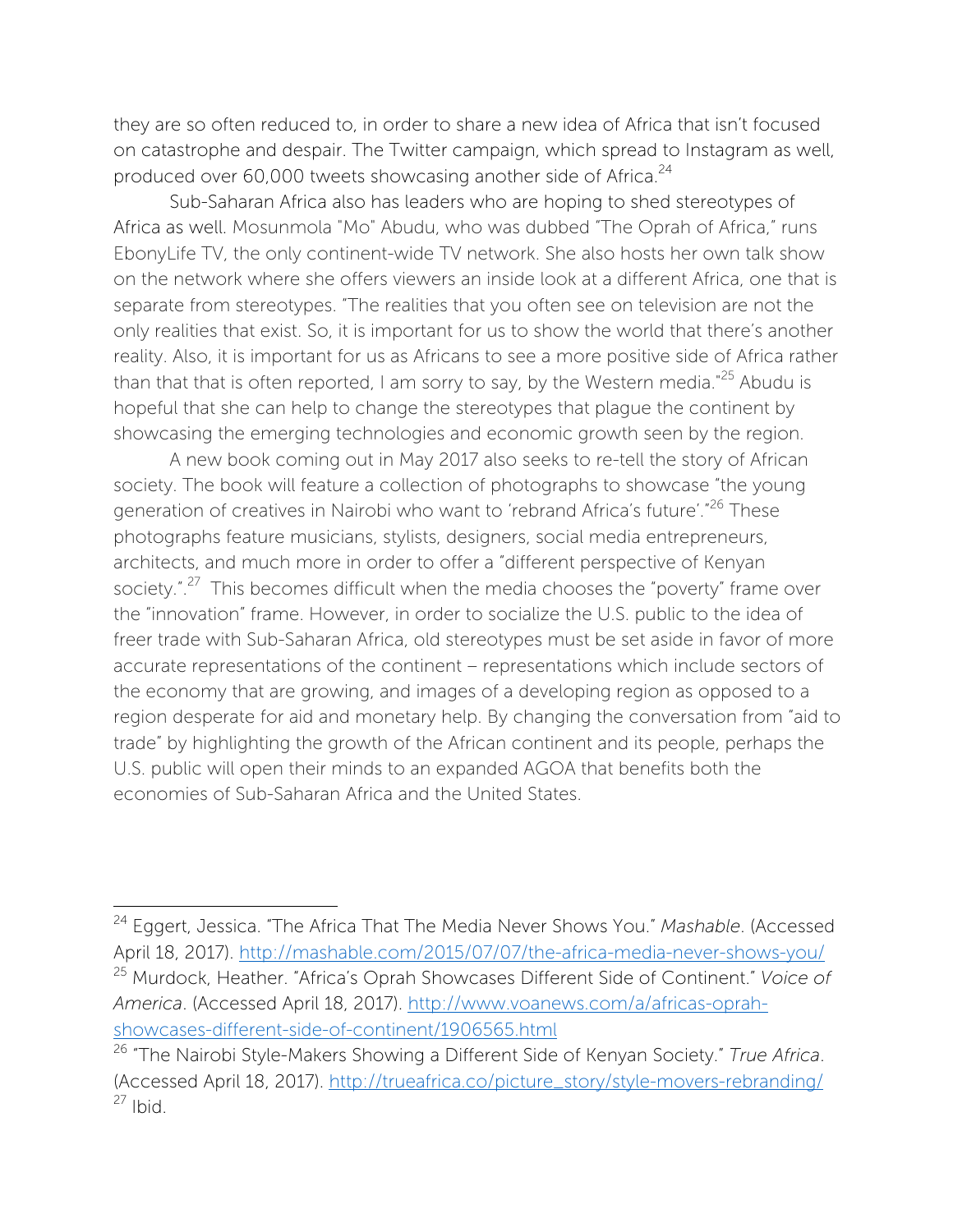they are so often reduced to, in order to share a new idea of Africa that isn't focused on catastrophe and despair. The Twitter campaign, which spread to Instagram as well, produced over 60,000 tweets showcasing another side of Africa.<sup>24</sup>

Sub-Saharan Africa also has leaders who are hoping to shed stereotypes of Africa as well. Mosunmola "Mo" Abudu, who was dubbed "The Oprah of Africa," runs EbonyLife TV, the only continent-wide TV network. She also hosts her own talk show on the network where she offers viewers an inside look at a different Africa, one that is separate from stereotypes. "The realities that you often see on television are not the only realities that exist. So, it is important for us to show the world that there's another reality. Also, it is important for us as Africans to see a more positive side of Africa rather than that that is often reported, I am sorry to say, by the Western media."<sup>25</sup> Abudu is hopeful that she can help to change the stereotypes that plague the continent by showcasing the emerging technologies and economic growth seen by the region.

A new book coming out in May 2017 also seeks to re-tell the story of African society. The book will feature a collection of photographs to showcase "the young generation of creatives in Nairobi who want to 'rebrand Africa's future'."<sup>26</sup> These photographs feature musicians, stylists, designers, social media entrepreneurs, architects, and much more in order to offer a "different perspective of Kenyan society.".<sup>27</sup> This becomes difficult when the media chooses the "poverty" frame over the "innovation" frame. However, in order to socialize the U.S. public to the idea of freer trade with Sub-Saharan Africa, old stereotypes must be set aside in favor of more accurate representations of the continent – representations which include sectors of the economy that are growing, and images of a developing region as opposed to a region desperate for aid and monetary help. By changing the conversation from "aid to trade" by highlighting the growth of the African continent and its people, perhaps the U.S. public will open their minds to an expanded AGOA that benefits both the economies of Sub-Saharan Africa and the United States.

<sup>24</sup> Eggert, Jessica. "The Africa That The Media Never Shows You." *Mashable*. (Accessed April 18, 2017). http://mashable.com/2015/07/07/the-africa-media-never-shows-you/ <sup>25</sup> Murdock, Heather. "Africa's Oprah Showcases Different Side of Continent." *Voice of America*. (Accessed April 18, 2017). http://www.voanews.com/a/africas-oprahshowcases-different-side-of-continent/1906565.html

<sup>26</sup> "The Nairobi Style-Makers Showing a Different Side of Kenyan Society." *True Africa*. (Accessed April 18, 2017). http://trueafrica.co/picture\_story/style-movers-rebranding/  $27$  Ibid.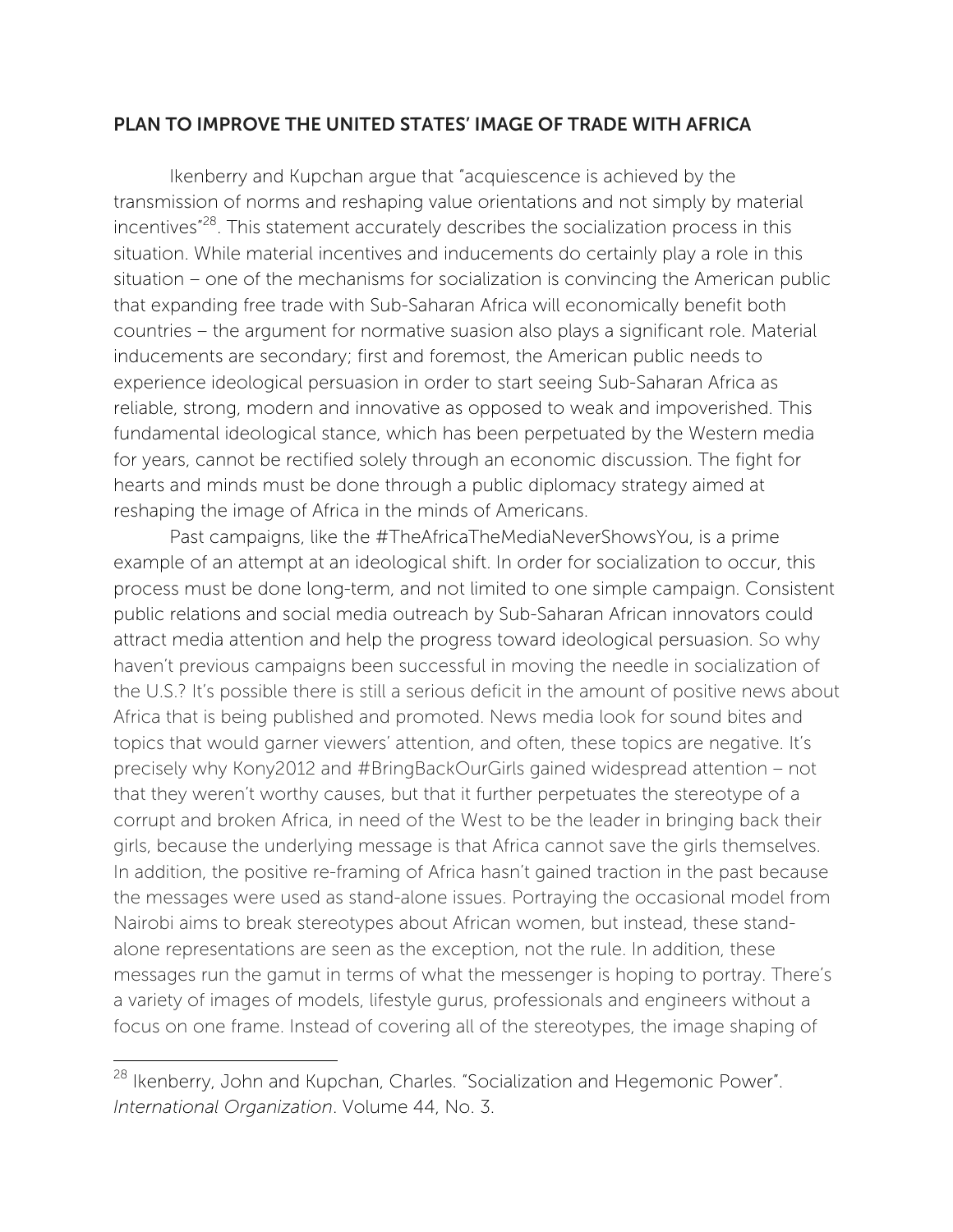#### PLAN TO IMPROVE THE UNITED STATES' IMAGE OF TRADE WITH AFRICA

Ikenberry and Kupchan argue that "acquiescence is achieved by the transmission of norms and reshaping value orientations and not simply by material incentives"28. This statement accurately describes the socialization process in this situation. While material incentives and inducements do certainly play a role in this situation – one of the mechanisms for socialization is convincing the American public that expanding free trade with Sub-Saharan Africa will economically benefit both countries – the argument for normative suasion also plays a significant role. Material inducements are secondary; first and foremost, the American public needs to experience ideological persuasion in order to start seeing Sub-Saharan Africa as reliable, strong, modern and innovative as opposed to weak and impoverished. This fundamental ideological stance, which has been perpetuated by the Western media for years, cannot be rectified solely through an economic discussion. The fight for hearts and minds must be done through a public diplomacy strategy aimed at reshaping the image of Africa in the minds of Americans.

Past campaigns, like the #TheAfricaTheMediaNeverShowsYou, is a prime example of an attempt at an ideological shift. In order for socialization to occur, this process must be done long-term, and not limited to one simple campaign. Consistent public relations and social media outreach by Sub-Saharan African innovators could attract media attention and help the progress toward ideological persuasion. So why haven't previous campaigns been successful in moving the needle in socialization of the U.S.? It's possible there is still a serious deficit in the amount of positive news about Africa that is being published and promoted. News media look for sound bites and topics that would garner viewers' attention, and often, these topics are negative. It's precisely why Kony2012 and #BringBackOurGirls gained widespread attention – not that they weren't worthy causes, but that it further perpetuates the stereotype of a corrupt and broken Africa, in need of the West to be the leader in bringing back their girls, because the underlying message is that Africa cannot save the girls themselves. In addition, the positive re-framing of Africa hasn't gained traction in the past because the messages were used as stand-alone issues. Portraying the occasional model from Nairobi aims to break stereotypes about African women, but instead, these standalone representations are seen as the exception, not the rule. In addition, these messages run the gamut in terms of what the messenger is hoping to portray. There's a variety of images of models, lifestyle gurus, professionals and engineers without a focus on one frame. Instead of covering all of the stereotypes, the image shaping of

<sup>&</sup>lt;sup>28</sup> Ikenberry, John and Kupchan, Charles. "Socialization and Hegemonic Power". *International Organization*. Volume 44, No. 3.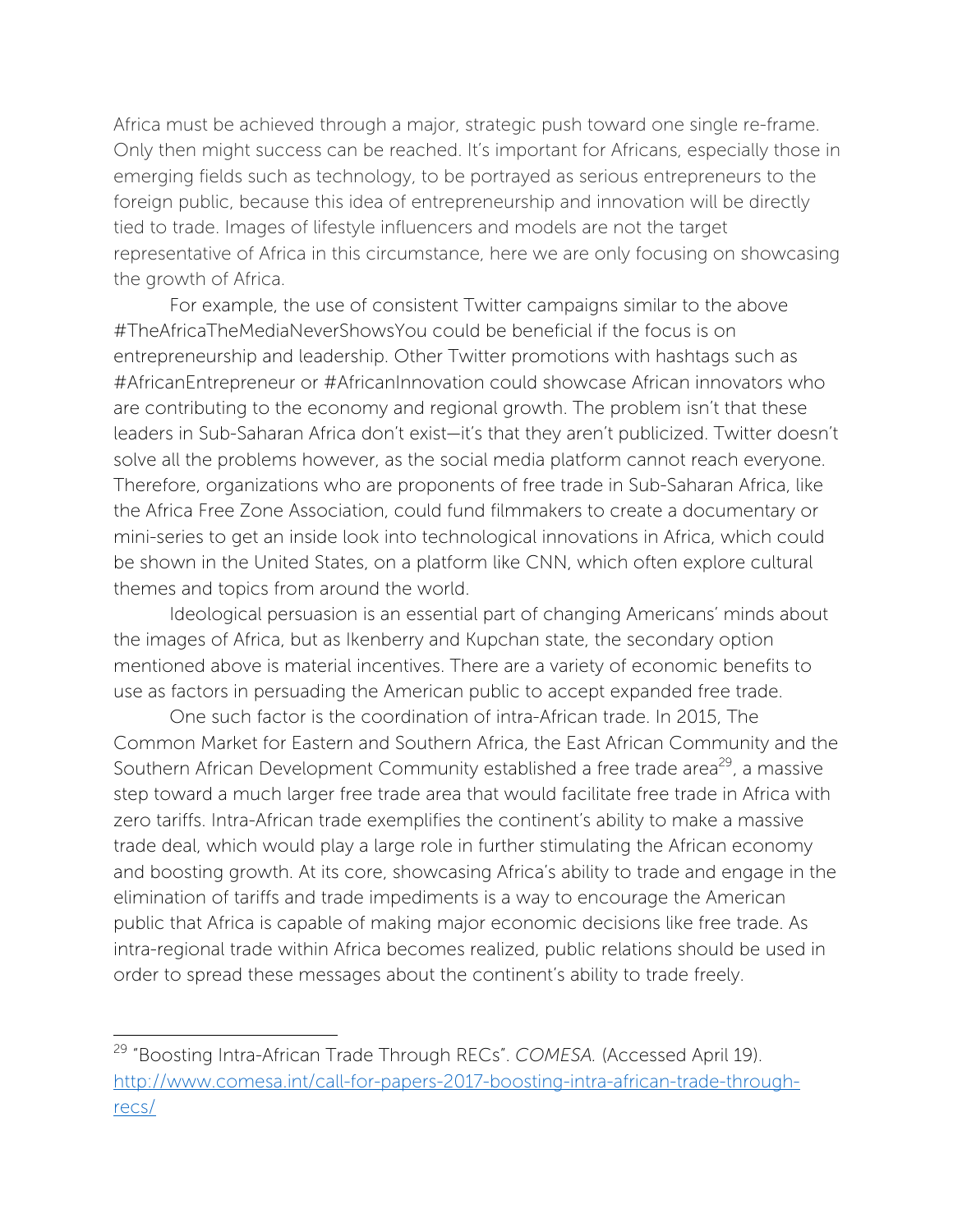Africa must be achieved through a major, strategic push toward one single re-frame. Only then might success can be reached. It's important for Africans, especially those in emerging fields such as technology, to be portrayed as serious entrepreneurs to the foreign public, because this idea of entrepreneurship and innovation will be directly tied to trade. Images of lifestyle influencers and models are not the target representative of Africa in this circumstance, here we are only focusing on showcasing the growth of Africa.

For example, the use of consistent Twitter campaigns similar to the above #TheAfricaTheMediaNeverShowsYou could be beneficial if the focus is on entrepreneurship and leadership. Other Twitter promotions with hashtags such as #AfricanEntrepreneur or #AfricanInnovation could showcase African innovators who are contributing to the economy and regional growth. The problem isn't that these leaders in Sub-Saharan Africa don't exist—it's that they aren't publicized. Twitter doesn't solve all the problems however, as the social media platform cannot reach everyone. Therefore, organizations who are proponents of free trade in Sub-Saharan Africa, like the Africa Free Zone Association, could fund filmmakers to create a documentary or mini-series to get an inside look into technological innovations in Africa, which could be shown in the United States, on a platform like CNN, which often explore cultural themes and topics from around the world.

Ideological persuasion is an essential part of changing Americans' minds about the images of Africa, but as Ikenberry and Kupchan state, the secondary option mentioned above is material incentives. There are a variety of economic benefits to use as factors in persuading the American public to accept expanded free trade.

One such factor is the coordination of intra-African trade. In 2015, The Common Market for Eastern and Southern Africa, the East African Community and the Southern African Development Community established a free trade area<sup>29</sup>, a massive step toward a much larger free trade area that would facilitate free trade in Africa with zero tariffs. Intra-African trade exemplifies the continent's ability to make a massive trade deal, which would play a large role in further stimulating the African economy and boosting growth. At its core, showcasing Africa's ability to trade and engage in the elimination of tariffs and trade impediments is a way to encourage the American public that Africa is capable of making major economic decisions like free trade. As intra-regional trade within Africa becomes realized, public relations should be used in order to spread these messages about the continent's ability to trade freely.

<sup>29</sup> "Boosting Intra-African Trade Through RECs". *COMESA.* (Accessed April 19). http://www.comesa.int/call-for-papers-2017-boosting-intra-african-trade-throughrecs/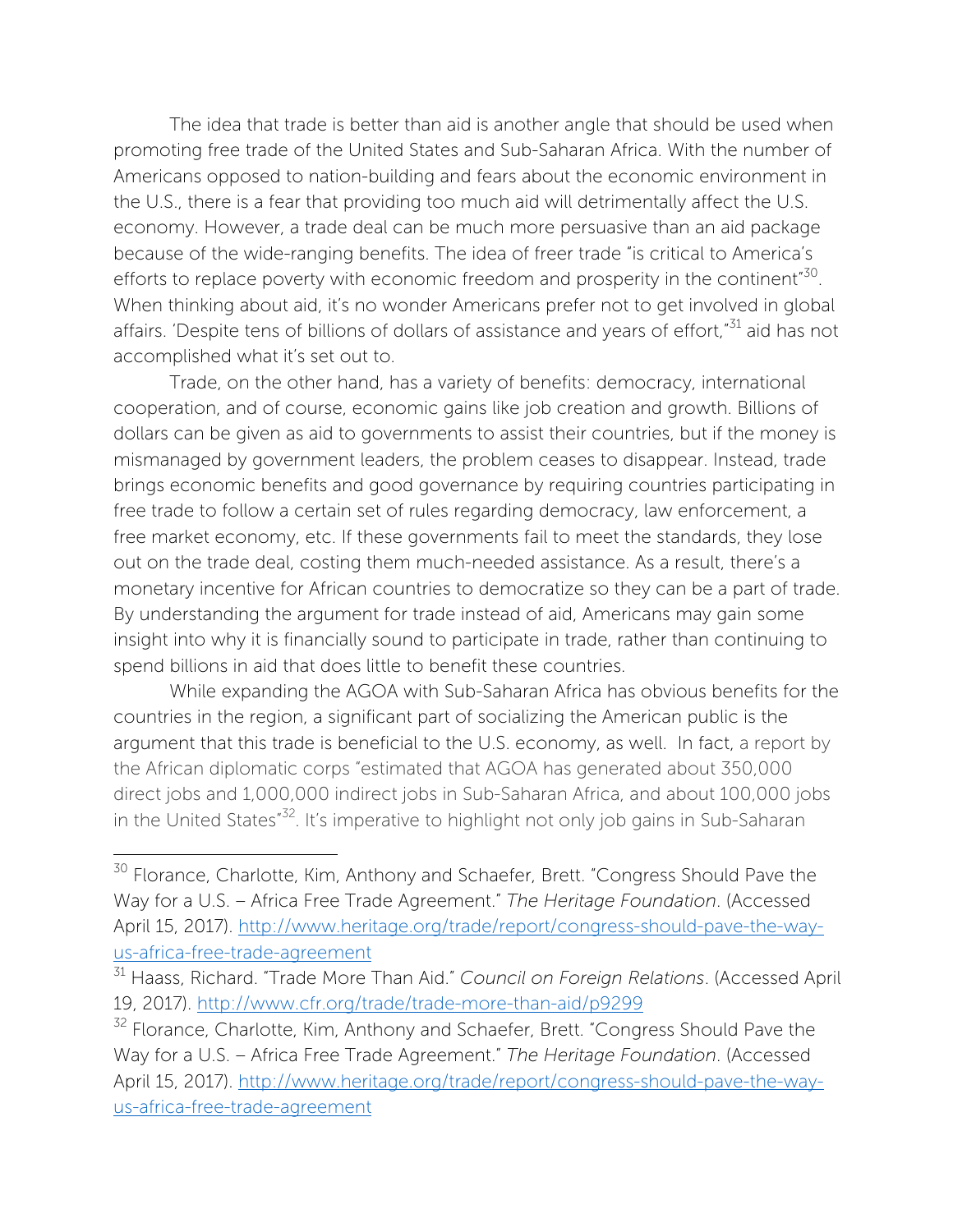The idea that trade is better than aid is another angle that should be used when promoting free trade of the United States and Sub-Saharan Africa. With the number of Americans opposed to nation-building and fears about the economic environment in the U.S., there is a fear that providing too much aid will detrimentally affect the U.S. economy. However, a trade deal can be much more persuasive than an aid package because of the wide-ranging benefits. The idea of freer trade "is critical to America's efforts to replace poverty with economic freedom and prosperity in the continent"<sup>30</sup>. When thinking about aid, it's no wonder Americans prefer not to get involved in global affairs. 'Despite tens of billions of dollars of assistance and years of effort,"<sup>31</sup> aid has not accomplished what it's set out to.

Trade, on the other hand, has a variety of benefits: democracy, international cooperation, and of course, economic gains like job creation and growth. Billions of dollars can be given as aid to governments to assist their countries, but if the money is mismanaged by government leaders, the problem ceases to disappear. Instead, trade brings economic benefits and good governance by requiring countries participating in free trade to follow a certain set of rules regarding democracy, law enforcement, a free market economy, etc. If these governments fail to meet the standards, they lose out on the trade deal, costing them much-needed assistance. As a result, there's a monetary incentive for African countries to democratize so they can be a part of trade. By understanding the argument for trade instead of aid, Americans may gain some insight into why it is financially sound to participate in trade, rather than continuing to spend billions in aid that does little to benefit these countries.

While expanding the AGOA with Sub-Saharan Africa has obvious benefits for the countries in the region, a significant part of socializing the American public is the argument that this trade is beneficial to the U.S. economy, as well. In fact, a report by the African diplomatic corps "estimated that AGOA has generated about 350,000 direct jobs and 1,000,000 indirect jobs in Sub-Saharan Africa, and about 100,000 jobs in the United States<sup>"32</sup>. It's imperative to highlight not only job gains in Sub-Saharan

<sup>&</sup>lt;sup>30</sup> Florance, Charlotte, Kim, Anthony and Schaefer, Brett. "Congress Should Pave the Way for a U.S. – Africa Free Trade Agreement." *The Heritage Foundation*. (Accessed April 15, 2017). http://www.heritage.org/trade/report/congress-should-pave-the-wayus-africa-free-trade-agreement

<sup>31</sup> Haass, Richard. "Trade More Than Aid." *Council on Foreign Relations*. (Accessed April 19, 2017). http://www.cfr.org/trade/trade-more-than-aid/p9299

<sup>&</sup>lt;sup>32</sup> Florance, Charlotte, Kim, Anthony and Schaefer, Brett. "Congress Should Pave the Way for a U.S. – Africa Free Trade Agreement." *The Heritage Foundation*. (Accessed April 15, 2017). http://www.heritage.org/trade/report/congress-should-pave-the-wayus-africa-free-trade-agreement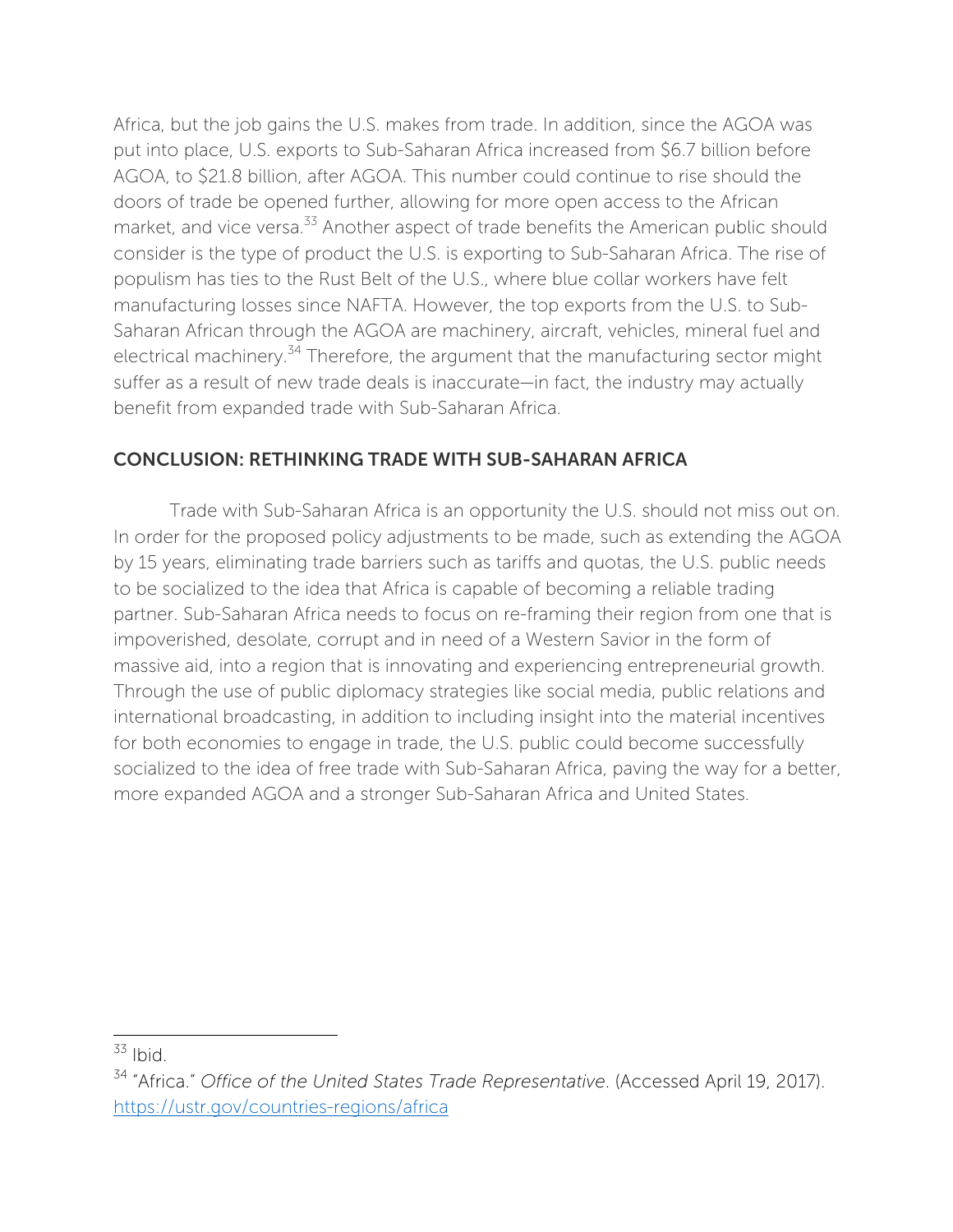Africa, but the job gains the U.S. makes from trade. In addition, since the AGOA was put into place, U.S. exports to Sub-Saharan Africa increased from \$6.7 billion before AGOA, to \$21.8 billion, after AGOA. This number could continue to rise should the doors of trade be opened further, allowing for more open access to the African market, and vice versa.<sup>33</sup> Another aspect of trade benefits the American public should consider is the type of product the U.S. is exporting to Sub-Saharan Africa. The rise of populism has ties to the Rust Belt of the U.S., where blue collar workers have felt manufacturing losses since NAFTA. However, the top exports from the U.S. to Sub-Saharan African through the AGOA are machinery, aircraft, vehicles, mineral fuel and electrical machinery.<sup>34</sup> Therefore, the argument that the manufacturing sector might suffer as a result of new trade deals is inaccurate—in fact, the industry may actually benefit from expanded trade with Sub-Saharan Africa.

## CONCLUSION: RETHINKING TRADE WITH SUB-SAHARAN AFRICA

Trade with Sub-Saharan Africa is an opportunity the U.S. should not miss out on. In order for the proposed policy adjustments to be made, such as extending the AGOA by 15 years, eliminating trade barriers such as tariffs and quotas, the U.S. public needs to be socialized to the idea that Africa is capable of becoming a reliable trading partner. Sub-Saharan Africa needs to focus on re-framing their region from one that is impoverished, desolate, corrupt and in need of a Western Savior in the form of massive aid, into a region that is innovating and experiencing entrepreneurial growth. Through the use of public diplomacy strategies like social media, public relations and international broadcasting, in addition to including insight into the material incentives for both economies to engage in trade, the U.S. public could become successfully socialized to the idea of free trade with Sub-Saharan Africa, paving the way for a better, more expanded AGOA and a stronger Sub-Saharan Africa and United States.

  $33$  Ibid.

<sup>34</sup> "Africa." *Office of the United States Trade Representative*. (Accessed April 19, 2017). https://ustr.gov/countries-regions/africa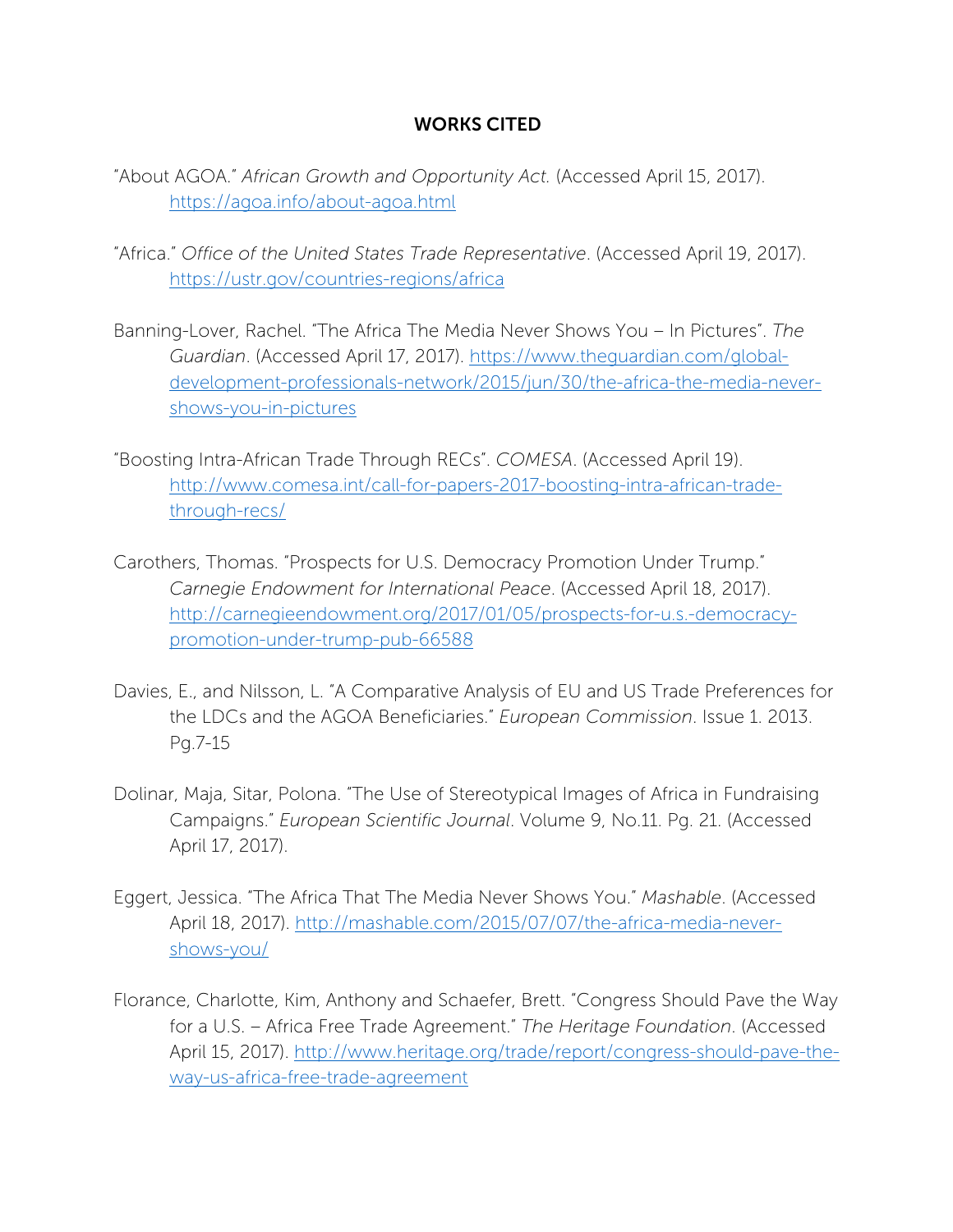#### WORKS CITED

- "About AGOA." *African Growth and Opportunity Act.* (Accessed April 15, 2017). https://agoa.info/about-agoa.html
- "Africa." *Office of the United States Trade Representative*. (Accessed April 19, 2017). https://ustr.gov/countries-regions/africa
- Banning-Lover, Rachel. "The Africa The Media Never Shows You In Pictures". *The Guardian*. (Accessed April 17, 2017). https://www.theguardian.com/globaldevelopment-professionals-network/2015/jun/30/the-africa-the-media-nevershows-you-in-pictures
- "Boosting Intra-African Trade Through RECs". *COMESA*. (Accessed April 19). http://www.comesa.int/call-for-papers-2017-boosting-intra-african-tradethrough-recs/
- Carothers, Thomas. "Prospects for U.S. Democracy Promotion Under Trump." *Carnegie Endowment for International Peace*. (Accessed April 18, 2017). http://carnegieendowment.org/2017/01/05/prospects-for-u.s.-democracypromotion-under-trump-pub-66588
- Davies, E., and Nilsson, L. "A Comparative Analysis of EU and US Trade Preferences for the LDCs and the AGOA Beneficiaries." *European Commission*. Issue 1. 2013. Pg.7-15
- Dolinar, Maja, Sitar, Polona. "The Use of Stereotypical Images of Africa in Fundraising Campaigns." *European Scientific Journal*. Volume 9, No.11. Pg. 21. (Accessed April 17, 2017).
- Eggert, Jessica. "The Africa That The Media Never Shows You." *Mashable*. (Accessed April 18, 2017). http://mashable.com/2015/07/07/the-africa-media-nevershows-you/
- Florance, Charlotte, Kim, Anthony and Schaefer, Brett. "Congress Should Pave the Way for a U.S. – Africa Free Trade Agreement." *The Heritage Foundation*. (Accessed April 15, 2017). http://www.heritage.org/trade/report/congress-should-pave-theway-us-africa-free-trade-agreement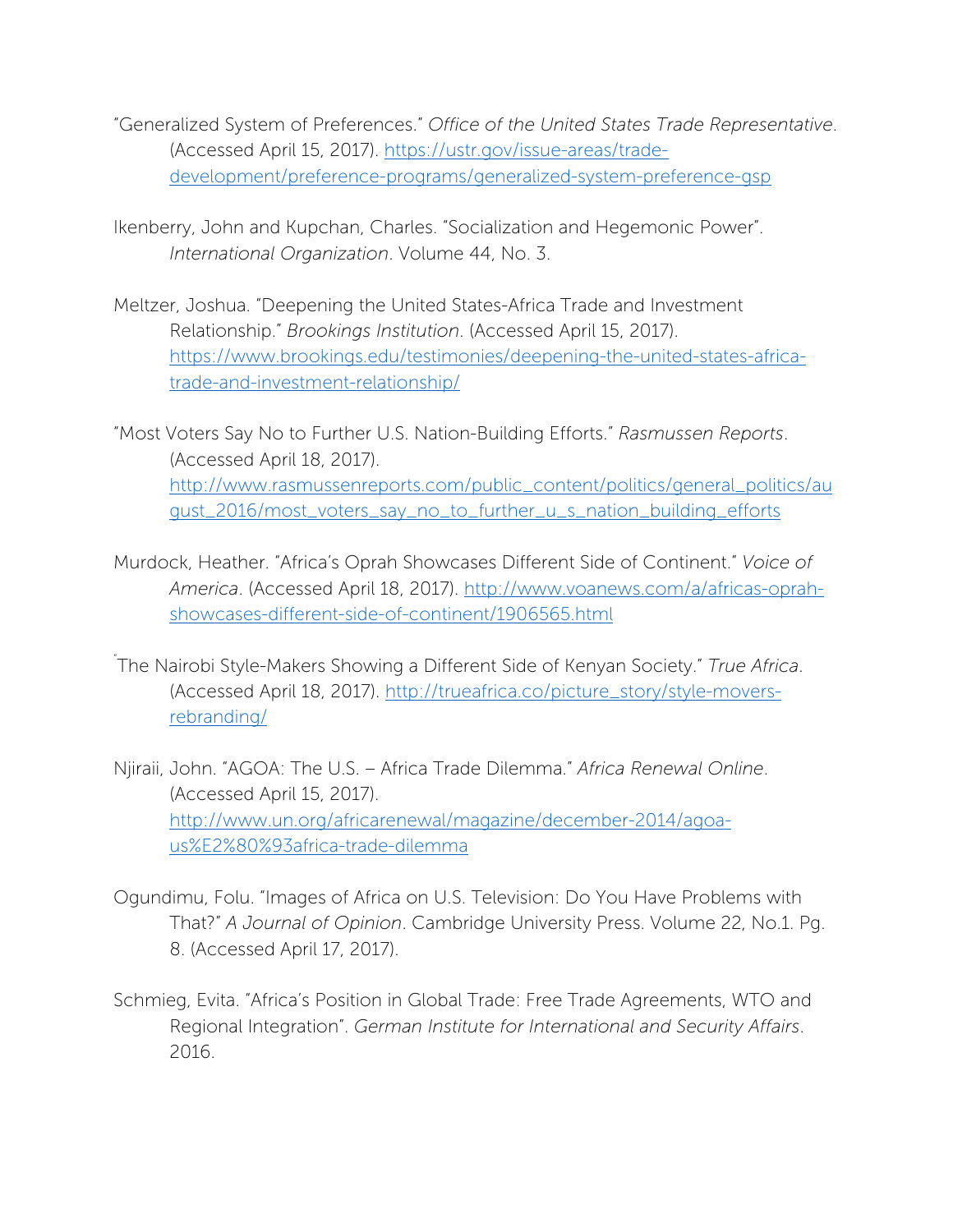- "Generalized System of Preferences." *Office of the United States Trade Representative*. (Accessed April 15, 2017). https://ustr.gov/issue-areas/tradedevelopment/preference-programs/generalized-system-preference-gsp
- Ikenberry, John and Kupchan, Charles. "Socialization and Hegemonic Power". *International Organization*. Volume 44, No. 3.
- Meltzer, Joshua. "Deepening the United States-Africa Trade and Investment Relationship." *Brookings Institution*. (Accessed April 15, 2017). https://www.brookings.edu/testimonies/deepening-the-united-states-africatrade-and-investment-relationship/

"Most Voters Say No to Further U.S. Nation-Building Efforts." *Rasmussen Reports*. (Accessed April 18, 2017). http://www.rasmussenreports.com/public\_content/politics/general\_politics/au gust\_2016/most\_voters\_say\_no\_to\_further\_u\_s\_nation\_building\_efforts

- Murdock, Heather. "Africa's Oprah Showcases Different Side of Continent." *Voice of America*. (Accessed April 18, 2017). http://www.voanews.com/a/africas-oprahshowcases-different-side-of-continent/1906565.html
- " The Nairobi Style-Makers Showing a Different Side of Kenyan Society." *True Africa*. (Accessed April 18, 2017). http://trueafrica.co/picture\_story/style-moversrebranding/
- Njiraii, John. "AGOA: The U.S. Africa Trade Dilemma." *Africa Renewal Online*. (Accessed April 15, 2017). http://www.un.org/africarenewal/magazine/december-2014/agoaus%E2%80%93africa-trade-dilemma
- Ogundimu, Folu. "Images of Africa on U.S. Television: Do You Have Problems with That?" *A Journal of Opinion*. Cambridge University Press. Volume 22, No.1. Pg. 8. (Accessed April 17, 2017).
- Schmieg, Evita. "Africa's Position in Global Trade: Free Trade Agreements, WTO and Regional Integration". *German Institute for International and Security Affairs*. 2016.